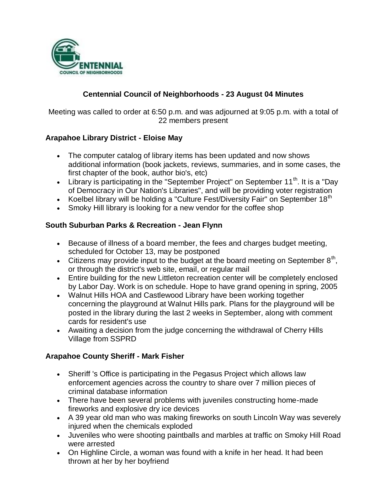

## **Centennial Council of Neighborhoods - 23 August 04 Minutes**

Meeting was called to order at 6:50 p.m. and was adjourned at 9:05 p.m. with a total of 22 members present

### **Arapahoe Library District - Eloise May**

- The computer catalog of library items has been updated and now shows additional information (book jackets, reviews, summaries, and in some cases, the first chapter of the book, author bio's, etc)
- Library is participating in the "September Project" on September  $11<sup>th</sup>$ . It is a "Day of Democracy in Our Nation's Libraries", and will be providing voter registration
- Koelbel library will be holding a "Culture Fest/Diversity Fair" on September 18<sup>th</sup>
- Smoky Hill library is looking for a new vendor for the coffee shop

#### **South Suburban Parks & Recreation - Jean Flynn**

- Because of illness of a board member, the fees and charges budget meeting, scheduled for October 13, may be postponed
- Citizens may provide input to the budget at the board meeting on September  $8<sup>th</sup>$ , or through the district's web site, email, or regular mail
- Entire building for the new Littleton recreation center will be completely enclosed by Labor Day. Work is on schedule. Hope to have grand opening in spring, 2005
- Walnut Hills HOA and Castlewood Library have been working together concerning the playground at Walnut Hills park. Plans for the playground will be posted in the library during the last 2 weeks in September, along with comment cards for resident's use
- Awaiting a decision from the judge concerning the withdrawal of Cherry Hills Village from SSPRD

#### **Arapahoe County Sheriff - Mark Fisher**

- Sheriff 's Office is participating in the Pegasus Project which allows law enforcement agencies across the country to share over 7 million pieces of criminal database information
- There have been several problems with juveniles constructing home-made fireworks and explosive dry ice devices
- A 39 year old man who was making fireworks on south Lincoln Way was severely injured when the chemicals exploded
- Juveniles who were shooting paintballs and marbles at traffic on Smoky Hill Road were arrested
- On Highline Circle, a woman was found with a knife in her head. It had been thrown at her by her boyfriend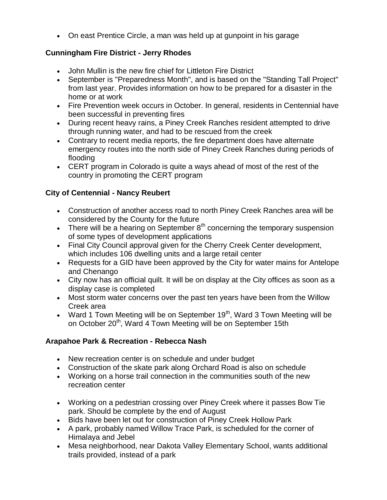On east Prentice Circle, a man was held up at gunpoint in his garage

## **Cunningham Fire District - Jerry Rhodes**

- John Mullin is the new fire chief for Littleton Fire District
- September is "Preparedness Month", and is based on the "Standing Tall Project" from last year. Provides information on how to be prepared for a disaster in the home or at work
- Fire Prevention week occurs in October. In general, residents in Centennial have been successful in preventing fires
- During recent heavy rains, a Piney Creek Ranches resident attempted to drive through running water, and had to be rescued from the creek
- Contrary to recent media reports, the fire department does have alternate emergency routes into the north side of Piney Creek Ranches during periods of flooding
- CERT program in Colorado is quite a ways ahead of most of the rest of the country in promoting the CERT program

## **City of Centennial - Nancy Reubert**

- Construction of another access road to north Piney Creek Ranches area will be considered by the County for the future
- There will be a hearing on September  $8<sup>th</sup>$  concerning the temporary suspension of some types of development applications
- Final City Council approval given for the Cherry Creek Center development, which includes 106 dwelling units and a large retail center
- Requests for a GID have been approved by the City for water mains for Antelope and Chenango
- City now has an official quilt. It will be on display at the City offices as soon as a display case is completed
- Most storm water concerns over the past ten years have been from the Willow Creek area
- Ward 1 Town Meeting will be on September  $19<sup>th</sup>$ , Ward 3 Town Meeting will be on October 20<sup>th</sup>, Ward 4 Town Meeting will be on September 15th

# **Arapahoe Park & Recreation - Rebecca Nash**

- New recreation center is on schedule and under budget
- Construction of the skate park along Orchard Road is also on schedule
- Working on a horse trail connection in the communities south of the new recreation center
- Working on a pedestrian crossing over Piney Creek where it passes Bow Tie park. Should be complete by the end of August
- Bids have been let out for construction of Piney Creek Hollow Park
- A park, probably named Willow Trace Park, is scheduled for the corner of Himalaya and Jebel
- Mesa neighborhood, near Dakota Valley Elementary School, wants additional trails provided, instead of a park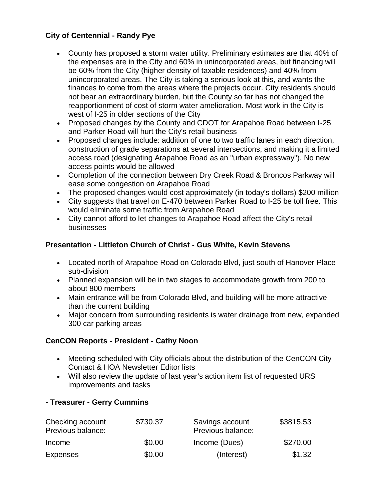## **City of Centennial - Randy Pye**

- County has proposed a storm water utility. Preliminary estimates are that 40% of the expenses are in the City and 60% in unincorporated areas, but financing will be 60% from the City (higher density of taxable residences) and 40% from unincorporated areas. The City is taking a serious look at this, and wants the finances to come from the areas where the projects occur. City residents should not bear an extraordinary burden, but the County so far has not changed the reapportionment of cost of storm water amelioration. Most work in the City is west of I-25 in older sections of the City
- Proposed changes by the County and CDOT for Arapahoe Road between I-25 and Parker Road will hurt the City's retail business
- Proposed changes include: addition of one to two traffic lanes in each direction, construction of grade separations at several intersections, and making it a limited access road (designating Arapahoe Road as an "urban expressway"). No new access points would be allowed
- Completion of the connection between Dry Creek Road & Broncos Parkway will ease some congestion on Arapahoe Road
- The proposed changes would cost approximately (in today's dollars) \$200 million
- City suggests that travel on E-470 between Parker Road to I-25 be toll free. This would eliminate some traffic from Arapahoe Road
- City cannot afford to let changes to Arapahoe Road affect the City's retail businesses

## **Presentation - Littleton Church of Christ - Gus White, Kevin Stevens**

- Located north of Arapahoe Road on Colorado Blvd, just south of Hanover Place sub-division
- Planned expansion will be in two stages to accommodate growth from 200 to about 800 members
- Main entrance will be from Colorado Blvd, and building will be more attractive than the current building
- Major concern from surrounding residents is water drainage from new, expanded 300 car parking areas

### **CenCON Reports - President - Cathy Noon**

- Meeting scheduled with City officials about the distribution of the CenCON City Contact & HOA Newsletter Editor lists
- Will also review the update of last year's action item list of requested URS improvements and tasks

### **- Treasurer - Gerry Cummins**

| Checking account<br>Previous balance: | \$730.37 | Savings account<br>Previous balance: | \$3815.53 |
|---------------------------------------|----------|--------------------------------------|-----------|
| Income                                | \$0.00   | Income (Dues)                        | \$270.00  |
| <b>Expenses</b>                       | \$0.00   | (Interest)                           | \$1.32    |